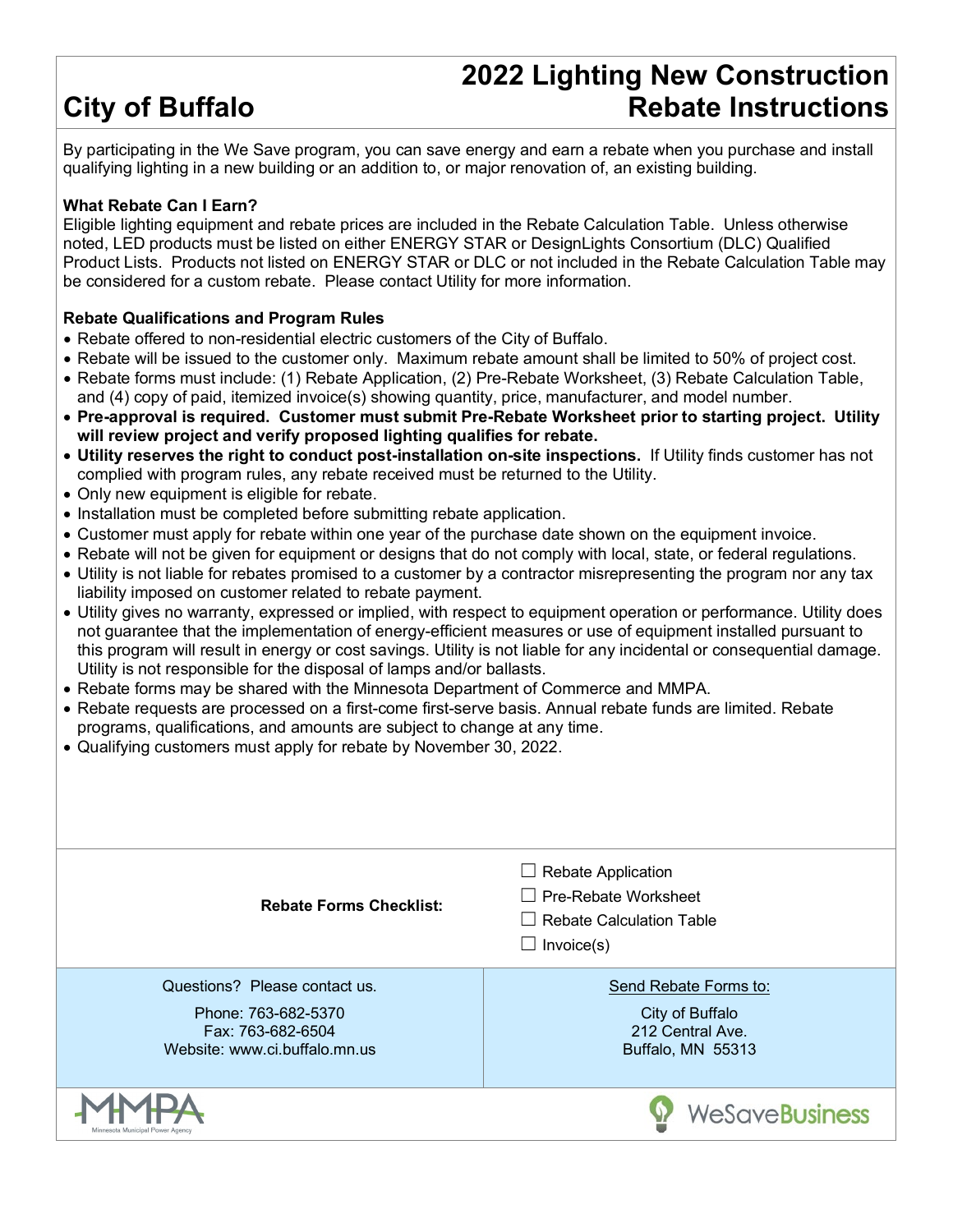# **City of Buffalo**

## **2022 Lighting New Construction Rebate Instructions**

By participating in the We Save program, you can save energy and earn a rebate when you purchase and install qualifying lighting in a new building or an addition to, or major renovation of, an existing building.

#### **What Rebate Can I Earn?**

Eligible lighting equipment and rebate prices are included in the Rebate Calculation Table. Unless otherwise noted, LED products must be listed on either ENERGY STAR or DesignLights Consortium (DLC) Qualified Product Lists. Products not listed on ENERGY STAR or DLC or not included in the Rebate Calculation Table may be considered for a custom rebate. Please contact Utility for more information.

#### **Rebate Qualifications and Program Rules**

- Rebate offered to non-residential electric customers of the City of Buffalo.
- Rebate will be issued to the customer only. Maximum rebate amount shall be limited to 50% of project cost.
- Rebate forms must include: (1) Rebate Application, (2) Pre-Rebate Worksheet, (3) Rebate Calculation Table, and (4) copy of paid, itemized invoice(s) showing quantity, price, manufacturer, and model number.
- **Pre-approval is required. Customer must submit Pre-Rebate Worksheet prior to starting project. Utility will review project and verify proposed lighting qualifies for rebate.**
- **Utility reserves the right to conduct post-installation on-site inspections.** If Utility finds customer has not complied with program rules, any rebate received must be returned to the Utility.
- Only new equipment is eligible for rebate.
- Installation must be completed before submitting rebate application.
- Customer must apply for rebate within one year of the purchase date shown on the equipment invoice.
- Rebate will not be given for equipment or designs that do not comply with local, state, or federal regulations.
- Utility is not liable for rebates promised to a customer by a contractor misrepresenting the program nor any tax liability imposed on customer related to rebate payment.
- Utility gives no warranty, expressed or implied, with respect to equipment operation or performance. Utility does not guarantee that the implementation of energy-efficient measures or use of equipment installed pursuant to this program will result in energy or cost savings. Utility is not liable for any incidental or consequential damage. Utility is not responsible for the disposal of lamps and/or ballasts.
- Rebate forms may be shared with the Minnesota Department of Commerce and MMPA.
- Rebate requests are processed on a first-come first-serve basis. Annual rebate funds are limited. Rebate programs, qualifications, and amounts are subject to change at any time.
- Qualifying customers must apply for rebate by November 30, 2022.

| <b>Rebate Forms Checklist:</b>                                                                             | <b>Rebate Application</b><br>$\overline{\phantom{a}}$<br>Pre-Rebate Worksheet<br><b>Rebate Calculation Table</b><br>Invoice(s)<br>$\overline{\phantom{a}}$ |
|------------------------------------------------------------------------------------------------------------|------------------------------------------------------------------------------------------------------------------------------------------------------------|
| Questions? Please contact us.<br>Phone: 763-682-5370<br>Fax: 763-682-6504<br>Website: www.ci.buffalo.mn.us | Send Rebate Forms to:<br>City of Buffalo<br>212 Central Ave.<br>Buffalo, MN 55313                                                                          |
| Minnesota Municipal Power Agenc                                                                            | <b>WeSaveBusiness</b>                                                                                                                                      |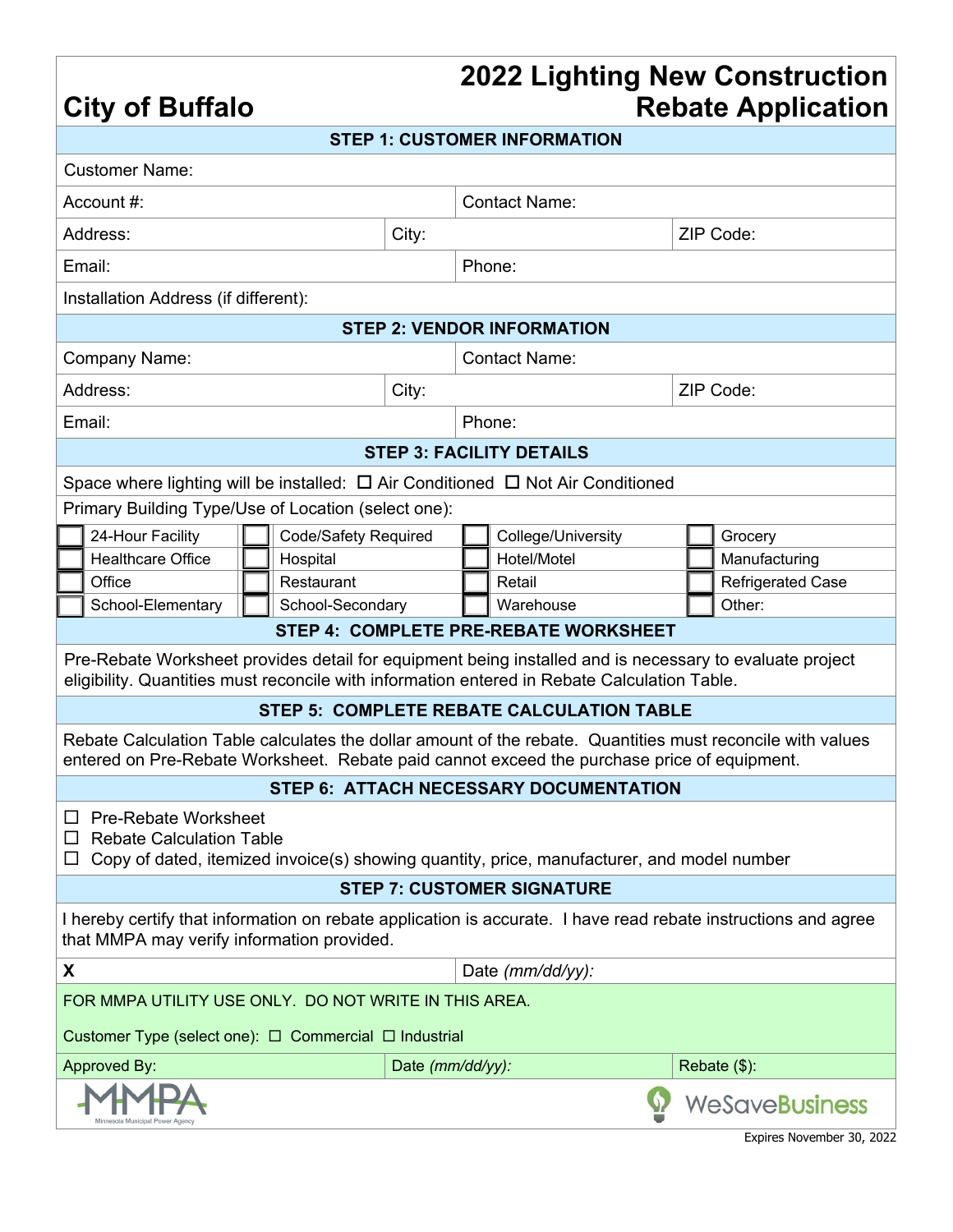## **2022 Lighting New Construction Rebate Application**

|                                                                                                                                                                                                           |                             |       |                      |                                           |           | <b>TAMALA LIAMILANI</b>  |  |  |
|-----------------------------------------------------------------------------------------------------------------------------------------------------------------------------------------------------------|-----------------------------|-------|----------------------|-------------------------------------------|-----------|--------------------------|--|--|
|                                                                                                                                                                                                           |                             |       |                      | <b>STEP 1: CUSTOMER INFORMATION</b>       |           |                          |  |  |
| <b>Customer Name:</b>                                                                                                                                                                                     |                             |       |                      |                                           |           |                          |  |  |
| Account #:                                                                                                                                                                                                |                             |       | <b>Contact Name:</b> |                                           |           |                          |  |  |
| Address:<br>City:                                                                                                                                                                                         |                             |       |                      |                                           | ZIP Code: |                          |  |  |
| Email:                                                                                                                                                                                                    |                             |       | Phone:               |                                           |           |                          |  |  |
| Installation Address (if different):                                                                                                                                                                      |                             |       |                      |                                           |           |                          |  |  |
|                                                                                                                                                                                                           |                             |       |                      | <b>STEP 2: VENDOR INFORMATION</b>         |           |                          |  |  |
| Company Name:                                                                                                                                                                                             |                             |       |                      | <b>Contact Name:</b>                      |           |                          |  |  |
| Address:                                                                                                                                                                                                  |                             | City: |                      |                                           |           | ZIP Code:                |  |  |
| Email:                                                                                                                                                                                                    |                             |       | Phone:               |                                           |           |                          |  |  |
|                                                                                                                                                                                                           |                             |       |                      | <b>STEP 3: FACILITY DETAILS</b>           |           |                          |  |  |
| Space where lighting will be installed: $\Box$ Air Conditioned $\Box$ Not Air Conditioned                                                                                                                 |                             |       |                      |                                           |           |                          |  |  |
| Primary Building Type/Use of Location (select one):                                                                                                                                                       |                             |       |                      |                                           |           |                          |  |  |
| 24-Hour Facility                                                                                                                                                                                          | <b>Code/Safety Required</b> |       |                      | College/University                        |           | Grocery                  |  |  |
| <b>Healthcare Office</b>                                                                                                                                                                                  | Hospital                    |       |                      | Hotel/Motel                               |           | Manufacturing            |  |  |
| Office                                                                                                                                                                                                    | Restaurant                  |       |                      | Retail                                    |           | <b>Refrigerated Case</b> |  |  |
| School-Elementary                                                                                                                                                                                         | School-Secondary            |       | Warehouse            |                                           | Other:    |                          |  |  |
|                                                                                                                                                                                                           |                             |       |                      | STEP 4: COMPLETE PRE-REBATE WORKSHEET     |           |                          |  |  |
| Pre-Rebate Worksheet provides detail for equipment being installed and is necessary to evaluate project<br>eligibility. Quantities must reconcile with information entered in Rebate Calculation Table.   |                             |       |                      |                                           |           |                          |  |  |
|                                                                                                                                                                                                           |                             |       |                      | STEP 5: COMPLETE REBATE CALCULATION TABLE |           |                          |  |  |
| Rebate Calculation Table calculates the dollar amount of the rebate. Quantities must reconcile with values<br>entered on Pre-Rebate Worksheet. Rebate paid cannot exceed the purchase price of equipment. |                             |       |                      |                                           |           |                          |  |  |
| STEP 6: ATTACH NECESSARY DOCUMENTATION                                                                                                                                                                    |                             |       |                      |                                           |           |                          |  |  |
| □ Pre-Rebate Worksheet<br>$\Box$ Rebate Calculation Table<br>$\Box$ Copy of dated, itemized invoice(s) showing quantity, price, manufacturer, and model number                                            |                             |       |                      |                                           |           |                          |  |  |
|                                                                                                                                                                                                           |                             |       |                      | <b>STEP 7: CUSTOMER SIGNATURE</b>         |           |                          |  |  |
|                                                                                                                                                                                                           |                             |       |                      |                                           |           |                          |  |  |

**City of Buffalo**

I hereby certify that information on rebate application is accurate. I have read rebate instructions and agree that MMPA may verify information provided.

|                                                       | Date $(mm/dd/yy)$ : |                 |  |  |  |  |  |
|-------------------------------------------------------|---------------------|-----------------|--|--|--|--|--|
| FOR MMPA UTILITY USE ONLY. DO NOT WRITE IN THIS AREA. |                     |                 |  |  |  |  |  |
| Customer Type (select one): □ Commercial □ Industrial |                     |                 |  |  |  |  |  |
| Approved By:                                          | Date (mm/dd/yy):    | Rebate $(\$)$ : |  |  |  |  |  |
| Minnesota Municipal Power Agency                      |                     | WeSaveBusiness  |  |  |  |  |  |

Expires November 30, 2022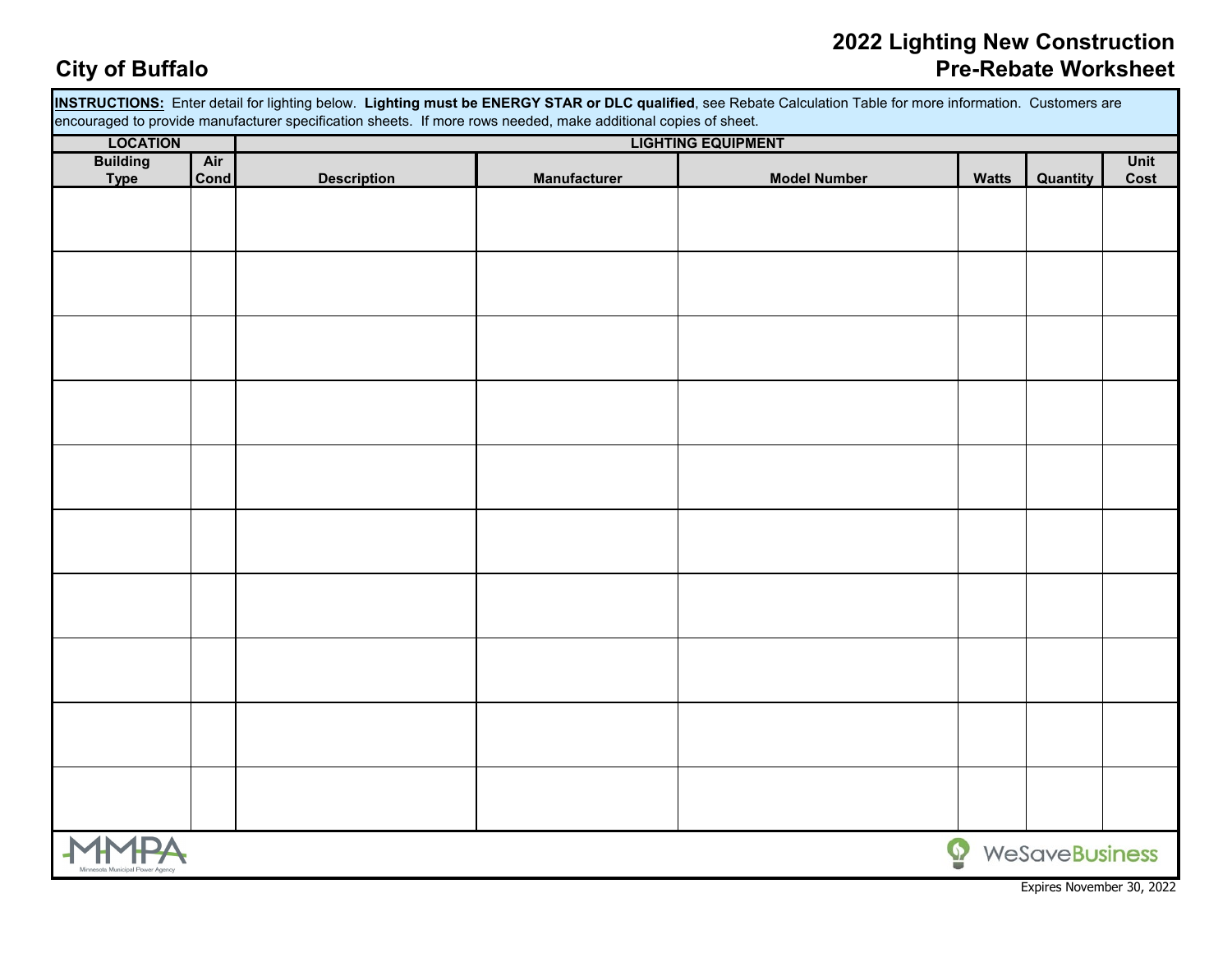### **2022 Lighting New Construction City of Buffalo Pre-Rebate Worksheet**

| INSTRUCTIONS: Enter detail for lighting below. Lighting must be ENERGY STAR or DLC qualified, see Rebate Calculation Table for more information. Customers are |      |                    |                     |                     |                   |                |             |  |  |
|----------------------------------------------------------------------------------------------------------------------------------------------------------------|------|--------------------|---------------------|---------------------|-------------------|----------------|-------------|--|--|
| encouraged to provide manufacturer specification sheets. If more rows needed, make additional copies of sheet.<br><b>LIGHTING EQUIPMENT</b><br><b>LOCATION</b> |      |                    |                     |                     |                   |                |             |  |  |
|                                                                                                                                                                | Air  |                    |                     |                     |                   |                | <b>Unit</b> |  |  |
| <b>Building</b><br><b>Type</b>                                                                                                                                 | Cond | <b>Description</b> | <b>Manufacturer</b> | <b>Model Number</b> | <b>Watts</b>      | Quantity       | Cost        |  |  |
|                                                                                                                                                                |      |                    |                     |                     |                   |                |             |  |  |
|                                                                                                                                                                |      |                    |                     |                     |                   |                |             |  |  |
|                                                                                                                                                                |      |                    |                     |                     |                   |                |             |  |  |
|                                                                                                                                                                |      |                    |                     |                     |                   |                |             |  |  |
|                                                                                                                                                                |      |                    |                     |                     |                   |                |             |  |  |
|                                                                                                                                                                |      |                    |                     |                     |                   |                |             |  |  |
|                                                                                                                                                                |      |                    |                     |                     |                   |                |             |  |  |
|                                                                                                                                                                |      |                    |                     |                     |                   |                |             |  |  |
|                                                                                                                                                                |      |                    |                     |                     |                   |                |             |  |  |
|                                                                                                                                                                |      |                    |                     |                     |                   |                |             |  |  |
|                                                                                                                                                                |      |                    |                     |                     |                   |                |             |  |  |
|                                                                                                                                                                |      |                    |                     |                     |                   |                |             |  |  |
|                                                                                                                                                                |      |                    |                     |                     |                   |                |             |  |  |
|                                                                                                                                                                |      |                    |                     |                     |                   |                |             |  |  |
|                                                                                                                                                                |      |                    |                     |                     |                   |                |             |  |  |
|                                                                                                                                                                |      |                    |                     |                     |                   |                |             |  |  |
|                                                                                                                                                                |      |                    |                     |                     |                   |                |             |  |  |
|                                                                                                                                                                |      |                    |                     |                     |                   |                |             |  |  |
|                                                                                                                                                                |      |                    |                     |                     |                   |                |             |  |  |
|                                                                                                                                                                |      |                    |                     |                     |                   |                |             |  |  |
|                                                                                                                                                                |      |                    |                     |                     |                   |                |             |  |  |
|                                                                                                                                                                |      |                    |                     |                     |                   |                |             |  |  |
|                                                                                                                                                                |      |                    |                     |                     |                   |                |             |  |  |
|                                                                                                                                                                |      |                    |                     |                     |                   |                |             |  |  |
|                                                                                                                                                                |      |                    |                     |                     |                   |                |             |  |  |
|                                                                                                                                                                |      |                    |                     |                     |                   |                |             |  |  |
|                                                                                                                                                                |      |                    |                     |                     |                   |                |             |  |  |
|                                                                                                                                                                |      |                    |                     |                     |                   |                |             |  |  |
|                                                                                                                                                                |      |                    |                     |                     |                   |                |             |  |  |
|                                                                                                                                                                |      |                    |                     |                     |                   |                |             |  |  |
|                                                                                                                                                                |      |                    |                     |                     | $\mathbf{\Omega}$ | WeSaveBusiness |             |  |  |
|                                                                                                                                                                |      |                    |                     |                     |                   |                |             |  |  |

Expires November 30, 2022